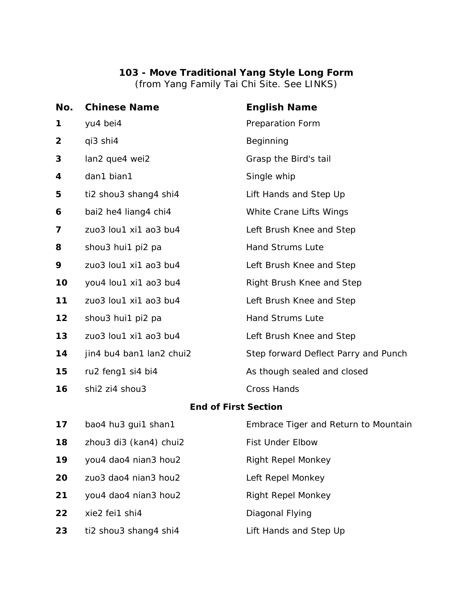## **103 - Move Traditional Yang Style Long Form**

(from Yang Family Tai Chi Site. See LINKS)

| No.                         | <b>Chinese Name</b>      | <b>English Name</b>                  |  |
|-----------------------------|--------------------------|--------------------------------------|--|
| 1                           | yu4 bei4                 | Preparation Form                     |  |
| 2                           | qi3 shi4                 | Beginning                            |  |
| 3                           | lan2 que4 wei2           | Grasp the Bird's tail                |  |
| 4                           | dan1 bian1               | Single whip                          |  |
| 5                           | ti2 shou3 shang4 shi4    | Lift Hands and Step Up               |  |
| 6                           | bai2 he4 liang4 chi4     | White Crane Lifts Wings              |  |
| 7                           | zuo3 lou1 xi1 ao3 bu4    | Left Brush Knee and Step             |  |
| 8                           | shou3 hui1 pi2 pa        | <b>Hand Strums Lute</b>              |  |
| 9                           | zuo3 lou1 xi1 ao3 bu4    | Left Brush Knee and Step             |  |
| 10                          | you4 lou1 xi1 ao3 bu4    | Right Brush Knee and Step            |  |
| 11                          | zuo3 lou1 xi1 ao3 bu4    | Left Brush Knee and Step             |  |
| 12                          | shou3 hui1 pi2 pa        | Hand Strums Lute                     |  |
| 13                          | zuo3 lou1 xi1 ao3 bu4    | Left Brush Knee and Step             |  |
| 14                          | jin4 bu4 ban1 lan2 chui2 | Step forward Deflect Parry and Punch |  |
| 15                          | ru2 feng1 si4 bi4        | As though sealed and closed          |  |
| 16                          | shi2 zi4 shou3           | <b>Cross Hands</b>                   |  |
| <b>End of First Section</b> |                          |                                      |  |
| 17                          | bao4 hu3 gui1 shan1      | Embrace Tiger and Return to Mountain |  |
| 18                          | zhou3 di3 (kan4) chui2   | <b>Fist Under Elbow</b>              |  |
| 19                          | you4 dao4 nian3 hou2     | <b>Right Repel Monkey</b>            |  |
| 20                          | zuo3 dao4 nian3 hou2     | Left Repel Monkey                    |  |

you4 dao4 nian3 hou2 Right Repel Monkey

xie2 fei1 shi4 Diagonal Flying

ti2 shou3 shang4 shi4 Lift Hands and Step Up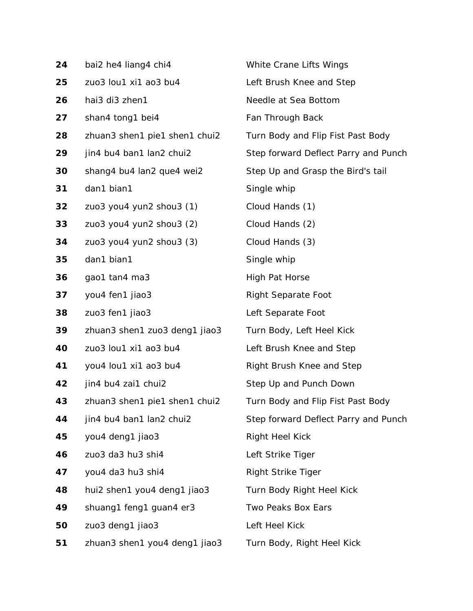| 24 | bai2 he4 liang4 chi4          | White Crane Lifts Wings              |
|----|-------------------------------|--------------------------------------|
| 25 | zuo3 lou1 xi1 ao3 bu4         | Left Brush Knee and Step             |
| 26 | hai3 di3 zhen1                | Needle at Sea Bottom                 |
| 27 | shan4 tong1 bei4              | Fan Through Back                     |
| 28 | zhuan3 shen1 pie1 shen1 chui2 | Turn Body and Flip Fist Past Body    |
| 29 | jin4 bu4 ban1 lan2 chui2      | Step forward Deflect Parry and Punch |
| 30 | shang4 bu4 lan2 que4 wei2     | Step Up and Grasp the Bird's tail    |
| 31 | dan1 bian1                    | Single whip                          |
| 32 | zuo3 you4 yun2 shou3 (1)      | Cloud Hands (1)                      |
| 33 | zuo3 you4 yun2 shou3 (2)      | Cloud Hands (2)                      |
| 34 | zuo3 you4 yun2 shou3 (3)      | Cloud Hands (3)                      |
| 35 | dan1 bian1                    | Single whip                          |
| 36 | gao1 tan4 ma3                 | <b>High Pat Horse</b>                |
| 37 | you4 fen1 jiao3               | <b>Right Separate Foot</b>           |
| 38 | zuo3 fen1 jiao3               | Left Separate Foot                   |
| 39 | zhuan3 shen1 zuo3 deng1 jiao3 | Turn Body, Left Heel Kick            |
| 40 | zuo3 lou1 xi1 ao3 bu4         | Left Brush Knee and Step             |
| 41 | you4 lou1 xi1 ao3 bu4         | Right Brush Knee and Step            |
| 42 | jin4 bu4 zai1 chui2           | Step Up and Punch Down               |
| 43 | zhuan3 shen1 pie1 shen1 chui2 | Turn Body and Flip Fist Past Body    |
| 44 | jin4 bu4 ban1 lan2 chui2      | Step forward Deflect Parry and Punch |
| 45 | you4 deng1 jiao3              | <b>Right Heel Kick</b>               |
| 46 | zuo3 da3 hu3 shi4             | Left Strike Tiger                    |
| 47 | you4 da3 hu3 shi4             | <b>Right Strike Tiger</b>            |
| 48 | hui2 shen1 you4 deng1 jiao3   | Turn Body Right Heel Kick            |
| 49 | shuang1 feng1 guan4 er3       | Two Peaks Box Ears                   |
| 50 | zuo3 deng1 jiao3              | Left Heel Kick                       |
| 51 | zhuan3 shen1 you4 deng1 jiao3 | Turn Body, Right Heel Kick           |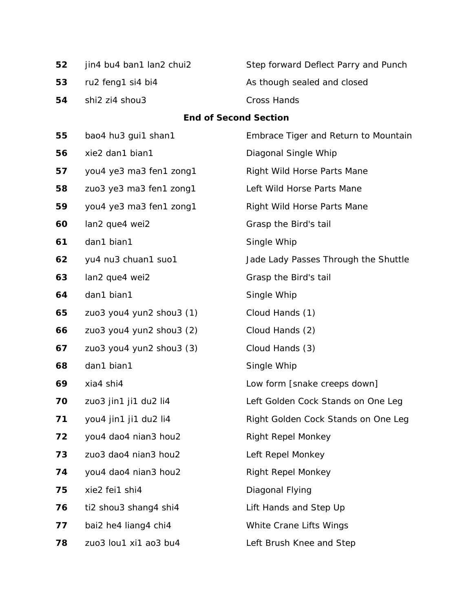| 52 | jin4 bu4 ban1 lan2 chui2     | Step forward Deflect Parry and Punch |
|----|------------------------------|--------------------------------------|
| 53 | ru2 feng1 si4 bi4            | As though sealed and closed          |
| 54 | shi2 zi4 shou3               | <b>Cross Hands</b>                   |
|    | <b>End of Second Section</b> |                                      |
| 55 | bao4 hu3 gui1 shan1          | Embrace Tiger and Return to Mountain |
| 56 | xie2 dan1 bian1              | Diagonal Single Whip                 |
| 57 | you4 ye3 ma3 fen1 zong1      | Right Wild Horse Parts Mane          |
| 58 | zuo3 ye3 ma3 fen1 zong1      | Left Wild Horse Parts Mane           |
| 59 | you4 ye3 ma3 fen1 zong1      | Right Wild Horse Parts Mane          |
| 60 | lan2 que4 wei2               | Grasp the Bird's tail                |
| 61 | dan1 bian1                   | Single Whip                          |
| 62 | yu4 nu3 chuan1 suo1          | Jade Lady Passes Through the Shuttle |
| 63 | lan2 que4 wei2               | Grasp the Bird's tail                |
| 64 | dan1 bian1                   | Single Whip                          |
| 65 | zuo3 you4 yun2 shou3 (1)     | Cloud Hands (1)                      |
| 66 | zuo3 you4 yun2 shou3 (2)     | Cloud Hands (2)                      |
| 67 | zuo3 you4 yun2 shou3 (3)     | Cloud Hands (3)                      |
| 68 | dan1 bian1                   | Single Whip                          |
| 69 | xia4 shi4                    | Low form [snake creeps down]         |
| 70 | zuo3 jin1 ji1 du2 li4        | Left Golden Cock Stands on One Leg   |
| 71 | you4 jin1 ji1 du2 li4        | Right Golden Cock Stands on One Leg  |
| 72 | you4 dao4 nian3 hou2         | <b>Right Repel Monkey</b>            |
| 73 | zuo3 dao4 nian3 hou2         | Left Repel Monkey                    |
| 74 | you4 dao4 nian3 hou2         | <b>Right Repel Monkey</b>            |
| 75 | xie2 fei1 shi4               | Diagonal Flying                      |
| 76 | ti2 shou3 shang4 shi4        | Lift Hands and Step Up               |
| 77 | bai2 he4 liang4 chi4         | White Crane Lifts Wings              |
| 78 | zuo3 lou1 xi1 ao3 bu4        | Left Brush Knee and Step             |